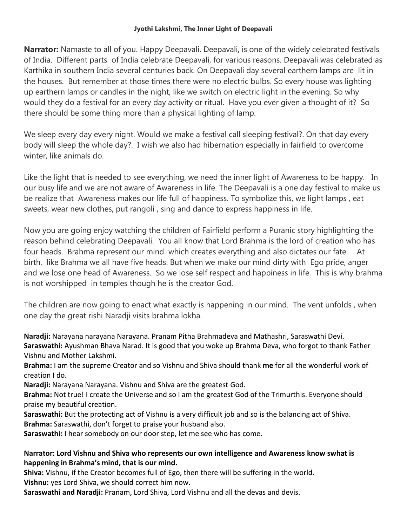#### **Jyothi Lakshmi, The Inner Light of Deepavali**

**Narrator:** Namaste to all of you. Happy Deepavali. Deepavali, is one of the widely celebrated festivals of India. Different parts of India celebrate Deepavali, for various reasons. Deepavali was celebrated as Karthika in southern India several centuries back. On Deepavali day several earthern lamps are lit in the houses. But remember at those times there were no electric bulbs. So every house was lighting up earthern lamps or candles in the night, like we switch on electric light in the evening. So why would they do a festival for an every day activity or ritual. Have you ever given a thought of it? So there should be some thing more than a physical lighting of lamp.

We sleep every day every night. Would we make a festival call sleeping festival?. On that day every body will sleep the whole day?. I wish we also had hibernation especially in fairfield to overcome winter, like animals do.

Like the light that is needed to see everything, we need the inner light of Awareness to be happy. In our busy life and we are not aware of Awareness in life. The Deepavali is a one day festival to make us be realize that Awareness makes our life full of happiness. To symbolize this, we light lamps , eat sweets, wear new clothes, put rangoli , sing and dance to express happiness in life.

Now you are going enjoy watching the children of Fairfield perform a Puranic story highlighting the reason behind celebrating Deepavali. You all know that Lord Brahma is the lord of creation who has four heads. Brahma represent our mind which creates everything and also dictates our fate. At birth, like Brahma we all have five heads. But when we make our mind dirty with Ego pride, anger and we lose one head of Awareness. So we lose self respect and happiness in life. This is why brahma is not worshipped in temples though he is the creator God.

The children are now going to enact what exactly is happening in our mind. The vent unfolds , when one day the great rishi Naradji visits brahma lokha.

**Naradji:** Narayana narayana Narayana. Pranam Pitha Brahmadeva and Mathashri, Saraswathi Devi. **Saraswathi:** Ayushman Bhava Narad. It is good that you woke up Brahma Deva, who forgot to thank Father Vishnu and Mother Lakshmi.

**Brahma:** I am the supreme Creator and so Vishnu and Shiva should thank **me** for all the wonderful work of creation I do.

**Naradji:** Narayana Narayana. Vishnu and Shiva are the greatest God.

**Brahma:** Not true! I create the Universe and so I am the greatest God of the Trimurthis. Everyone should praise my beautiful creation.

**Saraswathi:** But the protecting act of Vishnu is a very difficult job and so is the balancing act of Shiva. **Brahma:** Saraswathi, don't forget to praise your husband also.

**Saraswathi:** I hear somebody on our door step, let me see who has come.

#### **Narrator: Lord Vishnu and Shiva who represents our own intelligence and Awareness know swhat is happening in Brahma's mind, that is our mind.**

**Shiva:** Vishnu, if the Creator becomes full of Ego, then there will be suffering in the world. **Vishnu:** yes Lord Shiva, we should correct him now.

**Saraswathi and Naradji:** Pranam, Lord Shiva, Lord Vishnu and all the devas and devis.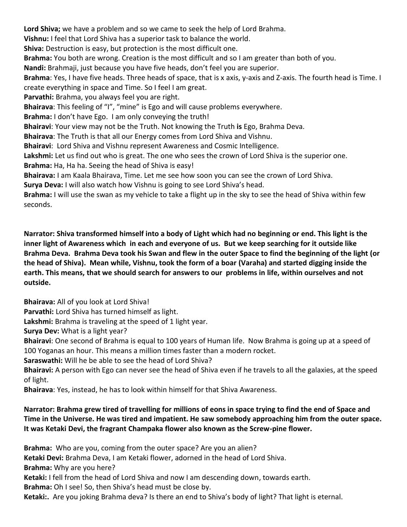**Lord Shiva;** we have a problem and so we came to seek the help of Lord Brahma. **Vishnu:** I feel that Lord Shiva has a superior task to balance the world. **Shiva:** Destruction is easy, but protection is the most difficult one. **Brahma:** You both are wrong. Creation is the most difficult and so I am greater than both of you. **Nandi:** Brahmaji, just because you have five heads, don't feel you are superior. **Brahma**: Yes, I have five heads. Three heads of space, that is x axis, y-axis and Z-axis. The fourth head is Time. I create everything in space and Time. So I feel I am great. **Parvathi:** Brahma, you always feel you are right. **Bhairava**: This feeling of "I", "mine" is Ego and will cause problems everywhere. **Brahma:** I don't have Ego. I am only conveying the truth! **Bhairavi**: Your view may not be the Truth. Not knowing the Truth **is** Ego, Brahma Deva. **Bhairava**: The Truth is that all our Energy comes from Lord Shiva and Vishnu. **Bhairavi**: Lord Shiva and Vishnu represent Awareness and Cosmic Intelligence. **Lakshmi:** Let us find out who is great. The one who sees the crown of Lord Shiva is the superior one. **Brahma:** Ha, Ha ha. Seeing the head of Shiva is easy! **Bhairava:** I am Kaala Bhairava, Time. Let me see how soon you can see the crown of Lord Shiva. **Surya Deva:** I will also watch how Vishnu is going to see Lord Shiva's head. **Brahma:** I will use the swan as my vehicle to take a flight up in the sky to see the head of Shiva within few seconds.

**Narrator: Shiva transformed himself into a body of Light which had no beginning or end. This light is the inner light of Awareness which in each and everyone of us. But we keep searching for it outside like Brahma Deva. Brahma Deva took his Swan and flew in the outer Space to find the beginning of the light (or the head of Shiva). Mean while, Vishnu, took the form of a boar (Varaha) and started digging inside the earth. This means, that we should search for answers to our problems in life, within ourselves and not outside.** 

**Bhairava:** All of you look at Lord Shiva!

**Parvathi:** Lord Shiva has turned himself as light.

**Lakshmi:** Brahma is traveling at the speed of 1 light year.

**Surya Dev:** What is a light year?

**Bhairavi**: One second of Brahma is equal to 100 years of Human life. Now Brahma is going up at a speed of 100 Yoganas an hour. This means a million times faster than a modern rocket.

**Saraswathi:** Will he be able to see the head of Lord Shiva?

**Bhairavi:** A person with Ego can never see the head of Shiva even if he travels to all the galaxies, at the speed of light.

**Bhairava**: Yes, instead, he has to look within himself for that Shiva Awareness.

## **Narrator: Brahma grew tired of travelling for millions of eons in space trying to find the end of Space and Time in the Universe. He was tired and impatient. He saw somebody approaching him from the outer space. It was Ketaki Devi, the fragrant Champaka flower also known as the Screw-pine flower.**

**Brahma:** Who are you, coming from the outer space? Are you an alien? **Ketaki Devi:** Brahma Deva, I am Ketaki flower, adorned in the head of Lord Shiva. **Brahma:** Why are you here? **Ketaki:** I fell from the head of Lord Shiva and now I am descending down, towards earth. **Brahma:** Oh I see! So, then Shiva's head must be close by. **Ketaki:.** Are you joking Brahma deva? Is there an end to Shiva's body of light? That light is eternal.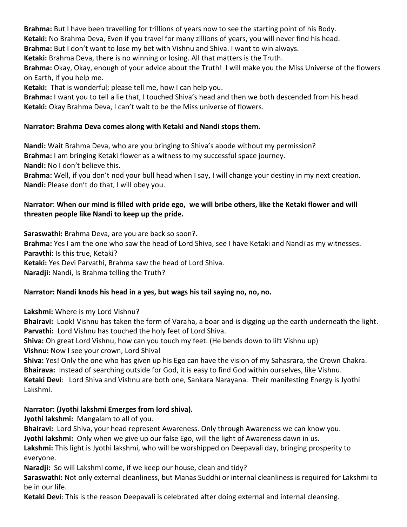**Brahma:** But I have been travelling for trillions of years now to see the starting point of his Body.

**Ketaki:** No Brahma Deva, Even if you travel for many zillions of years, you will never find his head.

**Brahma:** But I don't want to lose my bet with Vishnu and Shiva. I want to win always.

**Ketaki:** Brahma Deva, there is no winning or losing. All that matters is the Truth.

**Brahma:** Okay, Okay, enough of your advice about the Truth! I will make you the Miss Universe of the flowers on Earth, if you help me.

**Ketaki:** That is wonderful; please tell me, how I can help you.

**Brahma:** I want you to tell a lie that, I touched Shiva's head and then we both descended from his head. **Ketaki:** Okay Brahma Deva, I can't wait to be the Miss universe of flowers.

## **Narrator: Brahma Deva comes along with Ketaki and Nandi stops them.**

**Nandi:** Wait Brahma Deva, who are you bringing to Shiva's abode without my permission? **Brahma:** I am bringing Ketaki flower as a witness to my successful space journey. **Nandi:** No I don't believe this.

**Brahma:** Well, if you don't nod your bull head when I say, I will change your destiny in my next creation. **Nandi:** Please don't do that, I will obey you.

### **Narrator**: **When our mind is filled with pride ego, we will bribe others, like the Ketaki flower and will threaten people like Nandi to keep up the pride.**

**Saraswathi:** Brahma Deva, are you are back so soon?. **Brahma:** Yes I am the one who saw the head of Lord Shiva, see I have Ketaki and Nandi as my witnesses. **Paravthi:** Is this true, Ketaki? **Ketaki:** Yes Devi Parvathi, Brahma saw the head of Lord Shiva. **Naradji:** Nandi, Is Brahma telling the Truth?

# **Narrator: Nandi knods his head in a yes, but wags his tail saying no, no, no.**

**Lakshmi:** Where is my Lord Vishnu?

**Bhairavi:** Look! Vishnu has taken the form of Varaha, a boar and is digging up the earth underneath the light. **Parvathi:** Lord Vishnu has touched the holy feet of Lord Shiva.

**Shiva:** Oh great Lord Vishnu, how can you touch my feet. (He bends down to lift Vishnu up)

**Vishnu:** Now I see your crown, Lord Shiva!

**Shiva:** Yes! Only the one who has given up his Ego can have the vision of my Sahasrara, the Crown Chakra. **Bhairava:** Instead of searching outside for God, it is easy to find God within ourselves, like Vishnu. **Ketaki Devi**: Lord Shiva and Vishnu are both one, Sankara Narayana. Their manifesting Energy is Jyothi Lakshmi.

# **Narrator: (Jyothi lakshmi Emerges from lord shiva).**

**Jyothi lakshmi:** Mangalam to all of you.

**Bhairavi:** Lord Shiva, your head represent Awareness. Only through Awareness we can know you.

**Jyothi lakshmi:** Only when we give up our false Ego, will the light of Awareness dawn in us.

**Lakshmi:** This light is Jyothi lakshmi, who will be worshipped on Deepavali day, bringing prosperity to everyone.

**Naradji:** So will Lakshmi come, if we keep our house, clean and tidy?

**Saraswathi:** Not only external cleanliness, but Manas Suddhi or internal cleanliness is required for Lakshmi to be in our life.

**Ketaki Devi**: This is the reason Deepavali is celebrated after doing external and internal cleansing.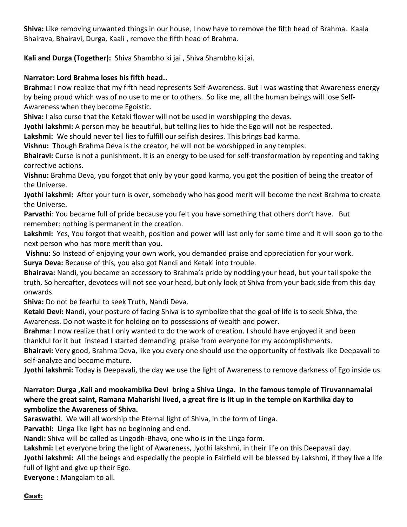**Shiva:** Like removing unwanted things in our house, I now have to remove the fifth head of Brahma. Kaala Bhairava, Bhairavi, Durga, Kaali , remove the fifth head of Brahma.

**Kali and Durga (Together):** Shiva Shambho ki jai , Shiva Shambho ki jai.

# **Narrator: Lord Brahma loses his fifth head..**

**Brahma:** I now realize that my fifth head represents Self-Awareness. But I was wasting that Awareness energy by being proud which was of no use to me or to others. So like me, all the human beings will lose Self-Awareness when they become Egoistic.

**Shiva:** I also curse that the Ketaki flower will not be used in worshipping the devas.

**Jyothi lakshmi:** A person may be beautiful, but telling lies to hide the Ego will not be respected.

**Lakshmi:** We should never tell lies to fulfill our selfish desires. This brings bad karma.

**Vishnu:** Though Brahma Deva is the creator, he will not be worshipped in any temples.

**Bhairavi:** Curse is not a punishment. It is an energy to be used for self-transformation by repenting and taking corrective actions.

**Vishnu:** Brahma Deva, you forgot that only by your good karma, you got the position of being the creator of the Universe.

**Jyothi lakshmi:** After your turn is over, somebody who has good merit will become the next Brahma to create the Universe.

**Parvathi**: You became full of pride because you felt you have something that others don't have. But remember: nothing is permanent in the creation.

**Lakshmi:** Yes, You forgot that wealth, position and power will last only for some time and it will soon go to the next person who has more merit than you.

**Vishnu**: So Instead of enjoying your own work, you demanded praise and appreciation for your work. **Surya Deva:** Because of this, you also got Nandi and Ketaki into trouble.

**Bhairava:** Nandi, you became an accessory to Brahma's pride by nodding your head, but your tail spoke the truth. So hereafter, devotees will not see your head, but only look at Shiva from your back side from this day onwards.

**Shiva:** Do not be fearful to seek Truth, Nandi Deva.

**Ketaki Devi:** Nandi, your posture of facing Shiva is to symbolize that the goal of life is to seek Shiva, the Awareness. Do not waste it for holding on to possessions of wealth and power.

**Brahma**: I now realize that I only wanted to do the work of creation. I should have enjoyed it and been thankful for it but instead I started demanding praise from everyone for my accomplishments.

**Bhairavi:** Very good, Brahma Deva, like you every one should use the opportunity of festivals like Deepavali to self-analyze and become mature.

**Jyothi lakshmi:** Today is Deepavali, the day we use the light of Awareness to remove darkness of Ego inside us.

## **Narrator: Durga ,Kali and mookambika Devi bring a Shiva Linga. In the famous temple of Tiruvannamalai where the great saint, Ramana Maharishi lived, a great fire is lit up in the temple on Karthika day to symbolize the Awareness of Shiva.**

**Saraswathi**. We will all worship the Eternal light of Shiva, in the form of Linga.

**Parvathi:** Linga like light has no beginning and end.

**Nandi:** Shiva will be called as Lingodh-Bhava, one who is in the Linga form.

**Lakshmi:** Let everyone bring the light of Awareness, Jyothi lakshmi, in their life on this Deepavali day.

**Jyothi lakshmi:** All the beings and especially the people in Fairfield will be blessed by Lakshmi, if they live a life full of light and give up their Ego.

**Everyone :** Mangalam to all.